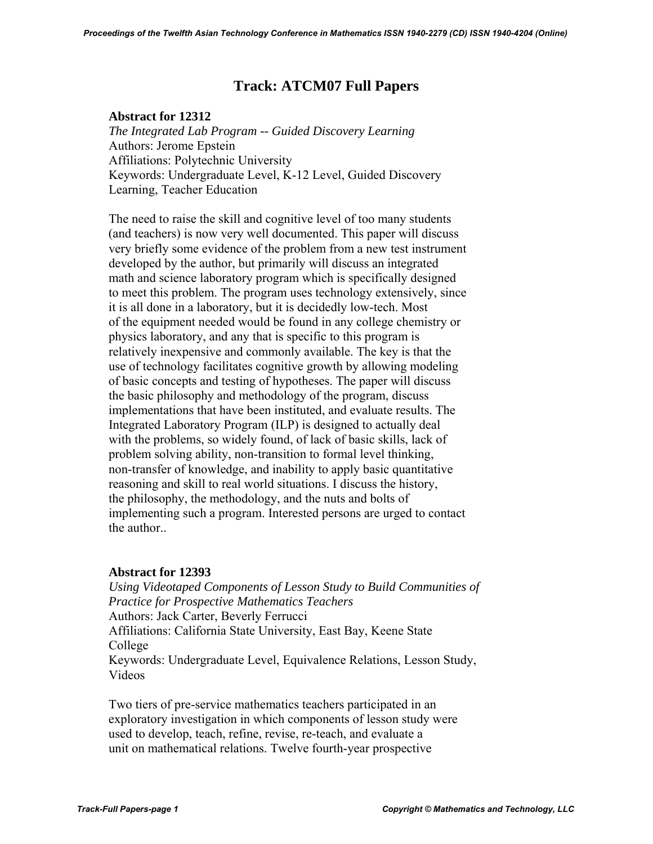# **Track: ATCM07 Full Papers**

# **Abstract for 12312**

 *The Integrated Lab Program -- Guided Discovery Learning*  Authors: Jerome Epstein Affiliations: Polytechnic University Keywords: Undergraduate Level, K-12 Level, Guided Discovery Learning, Teacher Education

 The need to raise the skill and cognitive level of too many students (and teachers) is now very well documented. This paper will discuss very briefly some evidence of the problem from a new test instrument developed by the author, but primarily will discuss an integrated math and science laboratory program which is specifically designed to meet this problem. The program uses technology extensively, since it is all done in a laboratory, but it is decidedly low-tech. Most of the equipment needed would be found in any college chemistry or physics laboratory, and any that is specific to this program is relatively inexpensive and commonly available. The key is that the use of technology facilitates cognitive growth by allowing modeling of basic concepts and testing of hypotheses. The paper will discuss the basic philosophy and methodology of the program, discuss implementations that have been instituted, and evaluate results. The Integrated Laboratory Program (ILP) is designed to actually deal with the problems, so widely found, of lack of basic skills, lack of problem solving ability, non-transition to formal level thinking, non-transfer of knowledge, and inability to apply basic quantitative reasoning and skill to real world situations. I discuss the history, the philosophy, the methodology, and the nuts and bolts of implementing such a program. Interested persons are urged to contact the author..

# **Abstract for 12393**

 *Using Videotaped Components of Lesson Study to Build Communities of Practice for Prospective Mathematics Teachers*  Authors: Jack Carter, Beverly Ferrucci Affiliations: California State University, East Bay, Keene State College Keywords: Undergraduate Level, Equivalence Relations, Lesson Study, Videos

 Two tiers of pre-service mathematics teachers participated in an exploratory investigation in which components of lesson study were used to develop, teach, refine, revise, re-teach, and evaluate a unit on mathematical relations. Twelve fourth-year prospective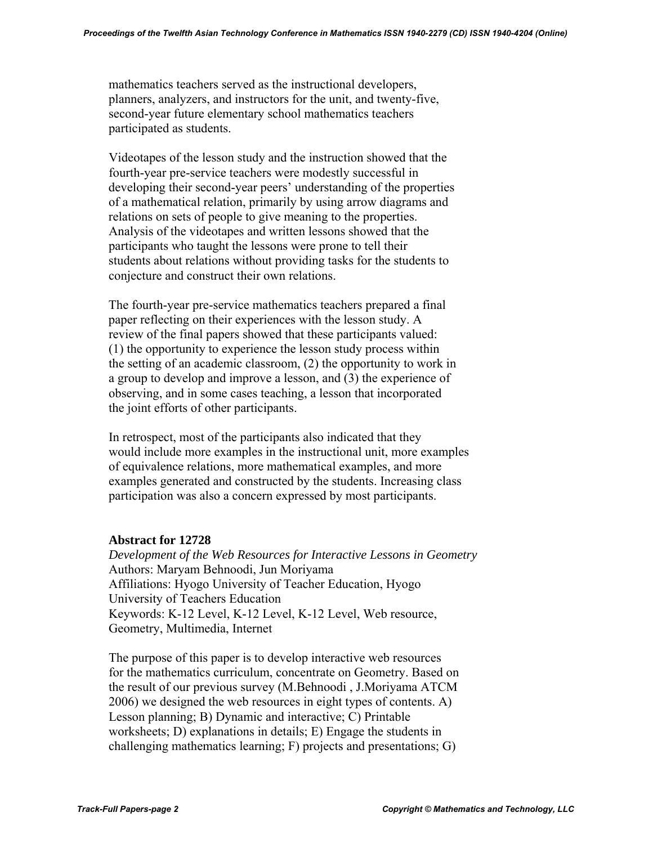mathematics teachers served as the instructional developers, planners, analyzers, and instructors for the unit, and twenty-five, second-year future elementary school mathematics teachers participated as students.

 Videotapes of the lesson study and the instruction showed that the fourth-year pre-service teachers were modestly successful in developing their second-year peers' understanding of the properties of a mathematical relation, primarily by using arrow diagrams and relations on sets of people to give meaning to the properties. Analysis of the videotapes and written lessons showed that the participants who taught the lessons were prone to tell their students about relations without providing tasks for the students to conjecture and construct their own relations.

 The fourth-year pre-service mathematics teachers prepared a final paper reflecting on their experiences with the lesson study. A review of the final papers showed that these participants valued: (1) the opportunity to experience the lesson study process within the setting of an academic classroom, (2) the opportunity to work in a group to develop and improve a lesson, and (3) the experience of observing, and in some cases teaching, a lesson that incorporated the joint efforts of other participants.

 In retrospect, most of the participants also indicated that they would include more examples in the instructional unit, more examples of equivalence relations, more mathematical examples, and more examples generated and constructed by the students. Increasing class participation was also a concern expressed by most participants.

### **Abstract for 12728**

 *Development of the Web Resources for Interactive Lessons in Geometry*  Authors: Maryam Behnoodi, Jun Moriyama Affiliations: Hyogo University of Teacher Education, Hyogo University of Teachers Education Keywords: K-12 Level, K-12 Level, K-12 Level, Web resource, Geometry, Multimedia, Internet

 The purpose of this paper is to develop interactive web resources for the mathematics curriculum, concentrate on Geometry. Based on the result of our previous survey (M.Behnoodi , J.Moriyama ATCM 2006) we designed the web resources in eight types of contents. A) Lesson planning; B) Dynamic and interactive; C) Printable worksheets; D) explanations in details; E) Engage the students in challenging mathematics learning; F) projects and presentations; G)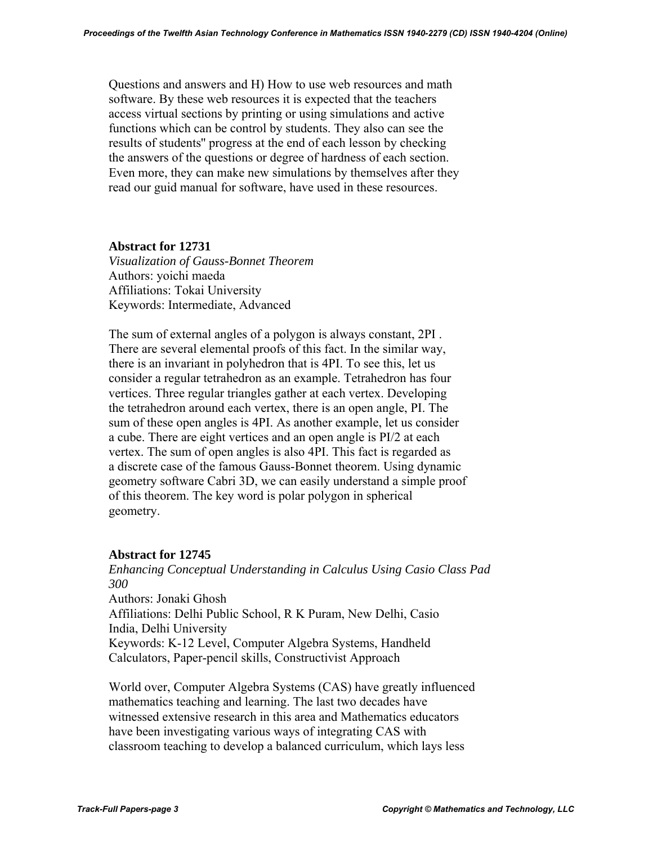Questions and answers and H) How to use web resources and math software. By these web resources it is expected that the teachers access virtual sections by printing or using simulations and active functions which can be control by students. They also can see the results of students'' progress at the end of each lesson by checking the answers of the questions or degree of hardness of each section. Even more, they can make new simulations by themselves after they read our guid manual for software, have used in these resources.

# **Abstract for 12731**

 *Visualization of Gauss-Bonnet Theorem*  Authors: yoichi maeda Affiliations: Tokai University Keywords: Intermediate, Advanced

 The sum of external angles of a polygon is always constant, 2PI . There are several elemental proofs of this fact. In the similar way, there is an invariant in polyhedron that is 4PI. To see this, let us consider a regular tetrahedron as an example. Tetrahedron has four vertices. Three regular triangles gather at each vertex. Developing the tetrahedron around each vertex, there is an open angle, PI. The sum of these open angles is 4PI. As another example, let us consider a cube. There are eight vertices and an open angle is PI/2 at each vertex. The sum of open angles is also 4PI. This fact is regarded as a discrete case of the famous Gauss-Bonnet theorem. Using dynamic geometry software Cabri 3D, we can easily understand a simple proof of this theorem. The key word is polar polygon in spherical geometry.

# **Abstract for 12745**

 *Enhancing Conceptual Understanding in Calculus Using Casio Class Pad 300* 

 Authors: Jonaki Ghosh Affiliations: Delhi Public School, R K Puram, New Delhi, Casio India, Delhi University Keywords: K-12 Level, Computer Algebra Systems, Handheld Calculators, Paper-pencil skills, Constructivist Approach

 World over, Computer Algebra Systems (CAS) have greatly influenced mathematics teaching and learning. The last two decades have witnessed extensive research in this area and Mathematics educators have been investigating various ways of integrating CAS with classroom teaching to develop a balanced curriculum, which lays less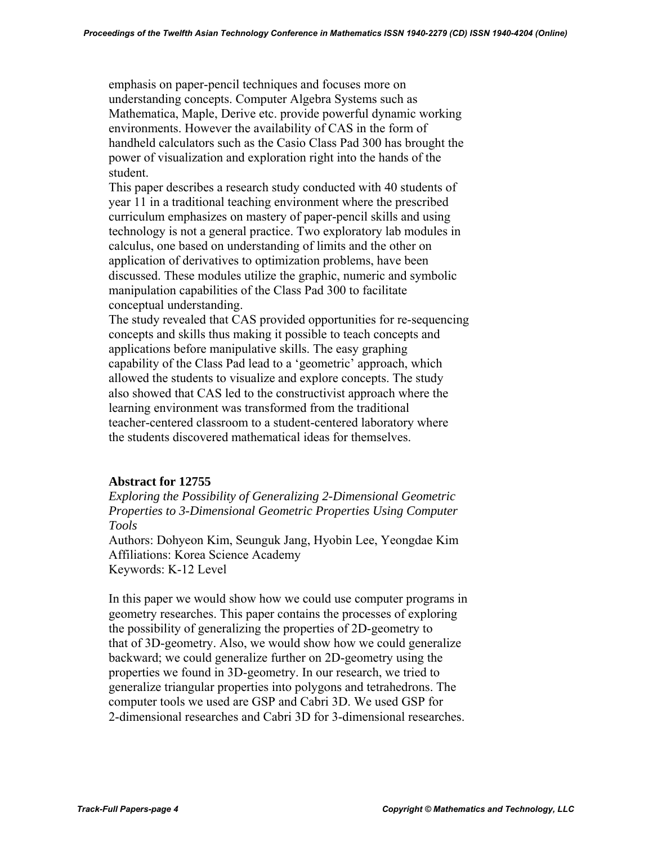emphasis on paper-pencil techniques and focuses more on understanding concepts. Computer Algebra Systems such as Mathematica, Maple, Derive etc. provide powerful dynamic working environments. However the availability of CAS in the form of handheld calculators such as the Casio Class Pad 300 has brought the power of visualization and exploration right into the hands of the student.

 This paper describes a research study conducted with 40 students of year 11 in a traditional teaching environment where the prescribed curriculum emphasizes on mastery of paper-pencil skills and using technology is not a general practice. Two exploratory lab modules in calculus, one based on understanding of limits and the other on application of derivatives to optimization problems, have been discussed. These modules utilize the graphic, numeric and symbolic manipulation capabilities of the Class Pad 300 to facilitate conceptual understanding.

 The study revealed that CAS provided opportunities for re-sequencing concepts and skills thus making it possible to teach concepts and applications before manipulative skills. The easy graphing capability of the Class Pad lead to a 'geometric' approach, which allowed the students to visualize and explore concepts. The study also showed that CAS led to the constructivist approach where the learning environment was transformed from the traditional teacher-centered classroom to a student-centered laboratory where the students discovered mathematical ideas for themselves.

### **Abstract for 12755**

 *Exploring the Possibility of Generalizing 2-Dimensional Geometric Properties to 3-Dimensional Geometric Properties Using Computer Tools* 

 Authors: Dohyeon Kim, Seunguk Jang, Hyobin Lee, Yeongdae Kim Affiliations: Korea Science Academy Keywords: K-12 Level

 In this paper we would show how we could use computer programs in geometry researches. This paper contains the processes of exploring the possibility of generalizing the properties of 2D-geometry to that of 3D-geometry. Also, we would show how we could generalize backward; we could generalize further on 2D-geometry using the properties we found in 3D-geometry. In our research, we tried to generalize triangular properties into polygons and tetrahedrons. The computer tools we used are GSP and Cabri 3D. We used GSP for 2-dimensional researches and Cabri 3D for 3-dimensional researches.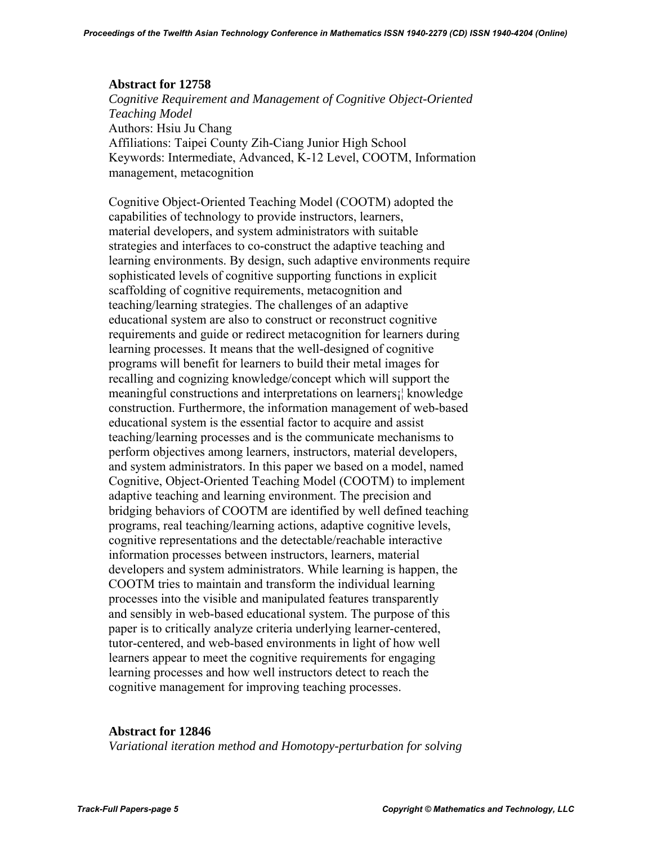### **Abstract for 12758**

 *Cognitive Requirement and Management of Cognitive Object-Oriented Teaching Model* Authors: Hsiu Ju Chang Affiliations: Taipei County Zih-Ciang Junior High School Keywords: Intermediate, Advanced, K-12 Level, COOTM, Information management, metacognition

 Cognitive Object-Oriented Teaching Model (COOTM) adopted the capabilities of technology to provide instructors, learners, material developers, and system administrators with suitable strategies and interfaces to co-construct the adaptive teaching and learning environments. By design, such adaptive environments require sophisticated levels of cognitive supporting functions in explicit scaffolding of cognitive requirements, metacognition and teaching/learning strategies. The challenges of an adaptive educational system are also to construct or reconstruct cognitive requirements and guide or redirect metacognition for learners during learning processes. It means that the well-designed of cognitive programs will benefit for learners to build their metal images for recalling and cognizing knowledge/concept which will support the meaningful constructions and interpretations on learners¡¦ knowledge construction. Furthermore, the information management of web-based educational system is the essential factor to acquire and assist teaching/learning processes and is the communicate mechanisms to perform objectives among learners, instructors, material developers, and system administrators. In this paper we based on a model, named Cognitive, Object-Oriented Teaching Model (COOTM) to implement adaptive teaching and learning environment. The precision and bridging behaviors of COOTM are identified by well defined teaching programs, real teaching/learning actions, adaptive cognitive levels, cognitive representations and the detectable/reachable interactive information processes between instructors, learners, material developers and system administrators. While learning is happen, the COOTM tries to maintain and transform the individual learning processes into the visible and manipulated features transparently and sensibly in web-based educational system. The purpose of this paper is to critically analyze criteria underlying learner-centered, tutor-centered, and web-based environments in light of how well learners appear to meet the cognitive requirements for engaging learning processes and how well instructors detect to reach the cognitive management for improving teaching processes.

#### **Abstract for 12846**

*Variational iteration method and Homotopy-perturbation for solving*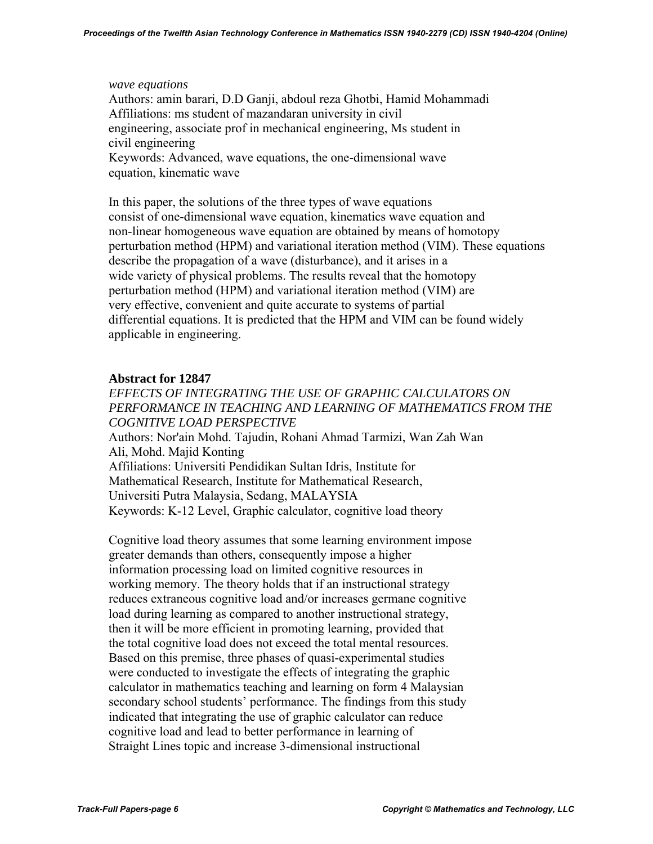#### *wave equations*

 Authors: amin barari, D.D Ganji, abdoul reza Ghotbi, Hamid Mohammadi Affiliations: ms student of mazandaran university in civil engineering, associate prof in mechanical engineering, Ms student in civil engineering Keywords: Advanced, wave equations, the one-dimensional wave

equation, kinematic wave

 In this paper, the solutions of the three types of wave equations consist of one-dimensional wave equation, kinematics wave equation and non-linear homogeneous wave equation are obtained by means of homotopy perturbation method (HPM) and variational iteration method (VIM). These equations describe the propagation of a wave (disturbance), and it arises in a wide variety of physical problems. The results reveal that the homotopy perturbation method (HPM) and variational iteration method (VIM) are very effective, convenient and quite accurate to systems of partial differential equations. It is predicted that the HPM and VIM can be found widely applicable in engineering.

# **Abstract for 12847**

*EFFECTS OF INTEGRATING THE USE OF GRAPHIC CALCULATORS ON PERFORMANCE IN TEACHING AND LEARNING OF MATHEMATICS FROM THE COGNITIVE LOAD PERSPECTIVE*  Authors: Nor'ain Mohd. Tajudin, Rohani Ahmad Tarmizi, Wan Zah Wan Ali, Mohd. Majid Konting Affiliations: Universiti Pendidikan Sultan Idris, Institute for Mathematical Research, Institute for Mathematical Research, Universiti Putra Malaysia, Sedang, MALAYSIA Keywords: K-12 Level, Graphic calculator, cognitive load theory

 Cognitive load theory assumes that some learning environment impose greater demands than others, consequently impose a higher information processing load on limited cognitive resources in working memory. The theory holds that if an instructional strategy reduces extraneous cognitive load and/or increases germane cognitive load during learning as compared to another instructional strategy, then it will be more efficient in promoting learning, provided that the total cognitive load does not exceed the total mental resources. Based on this premise, three phases of quasi-experimental studies were conducted to investigate the effects of integrating the graphic calculator in mathematics teaching and learning on form 4 Malaysian secondary school students' performance. The findings from this study indicated that integrating the use of graphic calculator can reduce cognitive load and lead to better performance in learning of Straight Lines topic and increase 3-dimensional instructional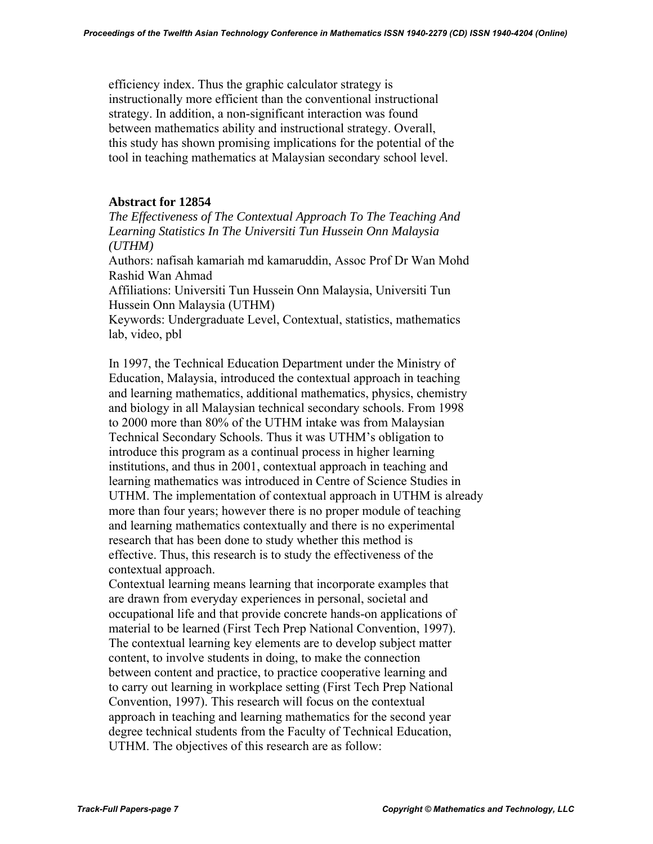efficiency index. Thus the graphic calculator strategy is instructionally more efficient than the conventional instructional strategy. In addition, a non-significant interaction was found between mathematics ability and instructional strategy. Overall, this study has shown promising implications for the potential of the tool in teaching mathematics at Malaysian secondary school level.

### **Abstract for 12854**

 *The Effectiveness of The Contextual Approach To The Teaching And Learning Statistics In The Universiti Tun Hussein Onn Malaysia (UTHM)* 

 Authors: nafisah kamariah md kamaruddin, Assoc Prof Dr Wan Mohd Rashid Wan Ahmad

 Affiliations: Universiti Tun Hussein Onn Malaysia, Universiti Tun Hussein Onn Malaysia (UTHM)

 Keywords: Undergraduate Level, Contextual, statistics, mathematics lab, video, pbl

 In 1997, the Technical Education Department under the Ministry of Education, Malaysia, introduced the contextual approach in teaching and learning mathematics, additional mathematics, physics, chemistry and biology in all Malaysian technical secondary schools. From 1998 to 2000 more than 80% of the UTHM intake was from Malaysian Technical Secondary Schools. Thus it was UTHM's obligation to introduce this program as a continual process in higher learning institutions, and thus in 2001, contextual approach in teaching and learning mathematics was introduced in Centre of Science Studies in UTHM. The implementation of contextual approach in UTHM is already more than four years; however there is no proper module of teaching and learning mathematics contextually and there is no experimental research that has been done to study whether this method is effective. Thus, this research is to study the effectiveness of the contextual approach.

 Contextual learning means learning that incorporate examples that are drawn from everyday experiences in personal, societal and occupational life and that provide concrete hands-on applications of material to be learned (First Tech Prep National Convention, 1997). The contextual learning key elements are to develop subject matter content, to involve students in doing, to make the connection between content and practice, to practice cooperative learning and to carry out learning in workplace setting (First Tech Prep National Convention, 1997). This research will focus on the contextual approach in teaching and learning mathematics for the second year degree technical students from the Faculty of Technical Education, UTHM. The objectives of this research are as follow: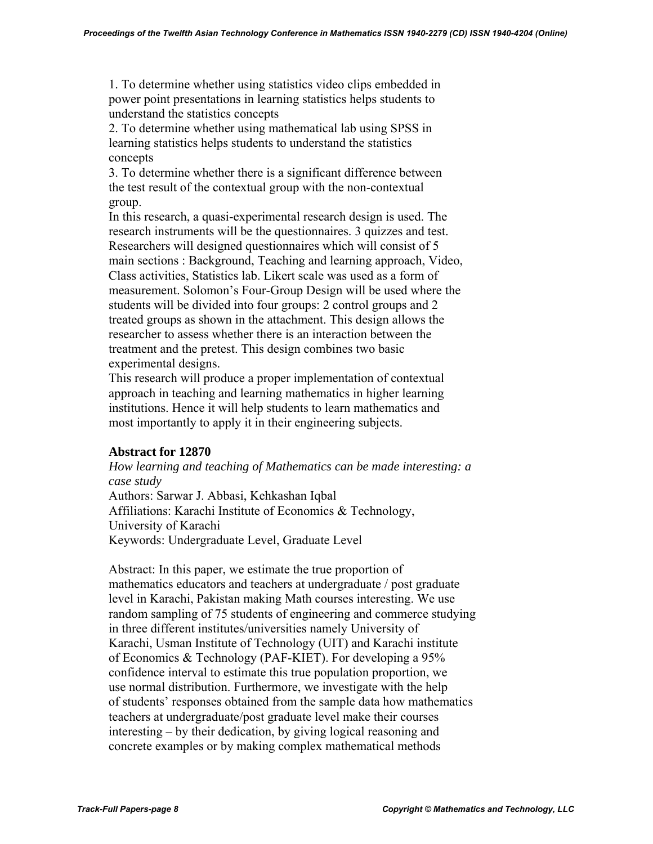1. To determine whether using statistics video clips embedded in power point presentations in learning statistics helps students to understand the statistics concepts

 2. To determine whether using mathematical lab using SPSS in learning statistics helps students to understand the statistics concepts

 3. To determine whether there is a significant difference between the test result of the contextual group with the non-contextual group.

 In this research, a quasi-experimental research design is used. The research instruments will be the questionnaires. 3 quizzes and test. Researchers will designed questionnaires which will consist of 5 main sections : Background, Teaching and learning approach, Video, Class activities, Statistics lab. Likert scale was used as a form of measurement. Solomon's Four-Group Design will be used where the students will be divided into four groups: 2 control groups and 2 treated groups as shown in the attachment. This design allows the researcher to assess whether there is an interaction between the treatment and the pretest. This design combines two basic experimental designs.

 This research will produce a proper implementation of contextual approach in teaching and learning mathematics in higher learning institutions. Hence it will help students to learn mathematics and most importantly to apply it in their engineering subjects.

# **Abstract for 12870**

 *How learning and teaching of Mathematics can be made interesting: a case study* 

 Authors: Sarwar J. Abbasi, Kehkashan Iqbal Affiliations: Karachi Institute of Economics & Technology, University of Karachi Keywords: Undergraduate Level, Graduate Level

 Abstract: In this paper, we estimate the true proportion of mathematics educators and teachers at undergraduate / post graduate level in Karachi, Pakistan making Math courses interesting. We use random sampling of 75 students of engineering and commerce studying in three different institutes/universities namely University of Karachi, Usman Institute of Technology (UIT) and Karachi institute of Economics & Technology (PAF-KIET). For developing a 95% confidence interval to estimate this true population proportion, we use normal distribution. Furthermore, we investigate with the help of students' responses obtained from the sample data how mathematics teachers at undergraduate/post graduate level make their courses interesting – by their dedication, by giving logical reasoning and concrete examples or by making complex mathematical methods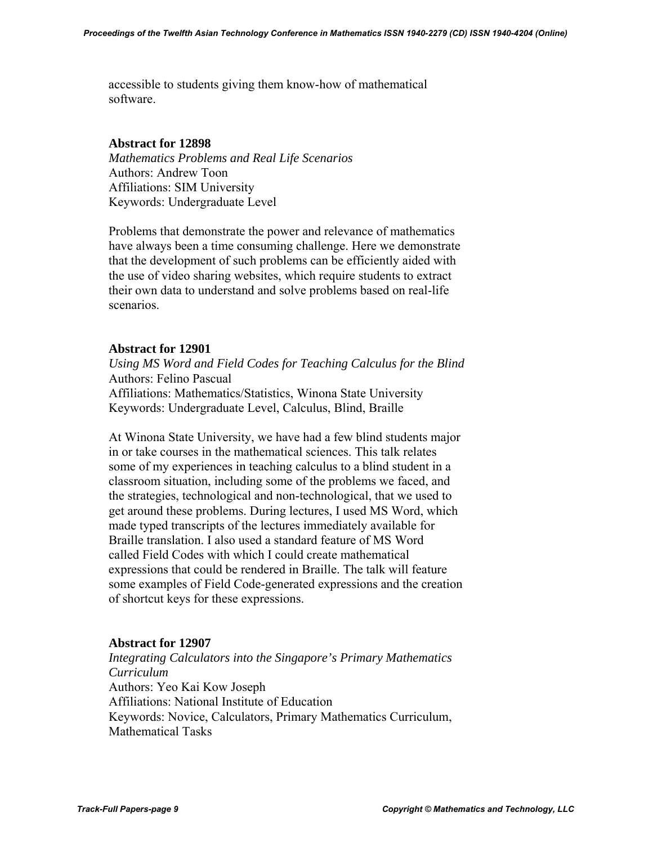accessible to students giving them know-how of mathematical software.

### **Abstract for 12898**

 *Mathematics Problems and Real Life Scenarios*  Authors: Andrew Toon Affiliations: SIM University Keywords: Undergraduate Level

 Problems that demonstrate the power and relevance of mathematics have always been a time consuming challenge. Here we demonstrate that the development of such problems can be efficiently aided with the use of video sharing websites, which require students to extract their own data to understand and solve problems based on real-life scenarios.

# **Abstract for 12901**

 *Using MS Word and Field Codes for Teaching Calculus for the Blind*  Authors: Felino Pascual Affiliations: Mathematics/Statistics, Winona State University Keywords: Undergraduate Level, Calculus, Blind, Braille

 At Winona State University, we have had a few blind students major in or take courses in the mathematical sciences. This talk relates some of my experiences in teaching calculus to a blind student in a classroom situation, including some of the problems we faced, and the strategies, technological and non-technological, that we used to get around these problems. During lectures, I used MS Word, which made typed transcripts of the lectures immediately available for Braille translation. I also used a standard feature of MS Word called Field Codes with which I could create mathematical expressions that could be rendered in Braille. The talk will feature some examples of Field Code-generated expressions and the creation of shortcut keys for these expressions.

### **Abstract for 12907**

 *Integrating Calculators into the Singapore's Primary Mathematics Curriculum*  Authors: Yeo Kai Kow Joseph Affiliations: National Institute of Education Keywords: Novice, Calculators, Primary Mathematics Curriculum, Mathematical Tasks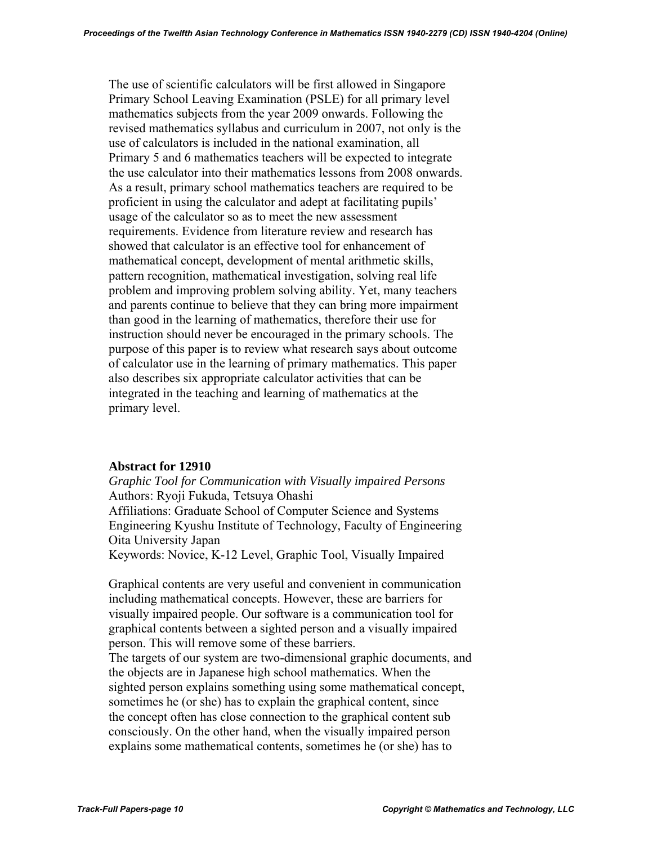The use of scientific calculators will be first allowed in Singapore Primary School Leaving Examination (PSLE) for all primary level mathematics subjects from the year 2009 onwards. Following the revised mathematics syllabus and curriculum in 2007, not only is the use of calculators is included in the national examination, all Primary 5 and 6 mathematics teachers will be expected to integrate the use calculator into their mathematics lessons from 2008 onwards. As a result, primary school mathematics teachers are required to be proficient in using the calculator and adept at facilitating pupils' usage of the calculator so as to meet the new assessment requirements. Evidence from literature review and research has showed that calculator is an effective tool for enhancement of mathematical concept, development of mental arithmetic skills, pattern recognition, mathematical investigation, solving real life problem and improving problem solving ability. Yet, many teachers and parents continue to believe that they can bring more impairment than good in the learning of mathematics, therefore their use for instruction should never be encouraged in the primary schools. The purpose of this paper is to review what research says about outcome of calculator use in the learning of primary mathematics. This paper also describes six appropriate calculator activities that can be integrated in the teaching and learning of mathematics at the primary level.

#### **Abstract for 12910**

 *Graphic Tool for Communication with Visually impaired Persons*  Authors: Ryoji Fukuda, Tetsuya Ohashi Affiliations: Graduate School of Computer Science and Systems Engineering Kyushu Institute of Technology, Faculty of Engineering Oita University Japan Keywords: Novice, K-12 Level, Graphic Tool, Visually Impaired

 Graphical contents are very useful and convenient in communication including mathematical concepts. However, these are barriers for visually impaired people. Our software is a communication tool for graphical contents between a sighted person and a visually impaired person. This will remove some of these barriers.

 The targets of our system are two-dimensional graphic documents, and the objects are in Japanese high school mathematics. When the sighted person explains something using some mathematical concept, sometimes he (or she) has to explain the graphical content, since the concept often has close connection to the graphical content sub consciously. On the other hand, when the visually impaired person explains some mathematical contents, sometimes he (or she) has to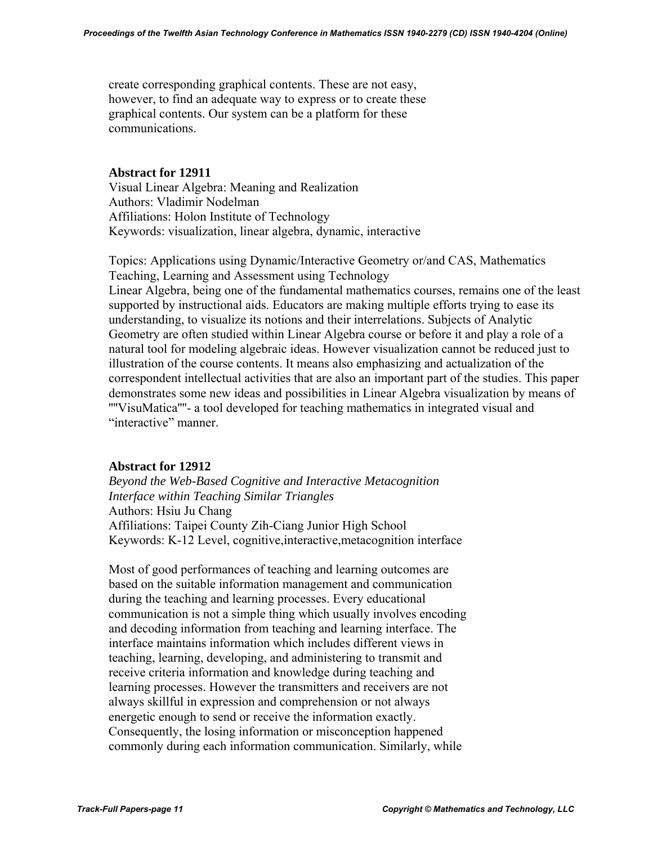create corresponding graphical contents. These are not easy, however, to find an adequate way to express or to create these graphical contents. Our system can be a platform for these communications.

### **Abstract for 12911**

Visual Linear Algebra: Meaning and Realization Authors: Vladimir Nodelman Affiliations: Holon Institute of Technology Keywords: visualization, linear algebra, dynamic, interactive

Topics: Applications using Dynamic/Interactive Geometry or/and CAS, Mathematics Teaching, Learning and Assessment using Technology

Linear Algebra, being one of the fundamental mathematics courses, remains one of the least supported by instructional aids. Educators are making multiple efforts trying to ease its understanding, to visualize its notions and their interrelations. Subjects of Analytic Geometry are often studied within Linear Algebra course or before it and play a role of a natural tool for modeling algebraic ideas. However visualization cannot be reduced just to illustration of the course contents. It means also emphasizing and actualization of the correspondent intellectual activities that are also an important part of the studies. This paper demonstrates some new ideas and possibilities in Linear Algebra visualization by means of ''''VisuMatica''''- a tool developed for teaching mathematics in integrated visual and "interactive" manner.

#### **Abstract for 12912**

 *Beyond the Web-Based Cognitive and Interactive Metacognition Interface within Teaching Similar Triangles*  Authors: Hsiu Ju Chang Affiliations: Taipei County Zih-Ciang Junior High School Keywords: K-12 Level, cognitive,interactive,metacognition interface

 Most of good performances of teaching and learning outcomes are based on the suitable information management and communication during the teaching and learning processes. Every educational communication is not a simple thing which usually involves encoding and decoding information from teaching and learning interface. The interface maintains information which includes different views in teaching, learning, developing, and administering to transmit and receive criteria information and knowledge during teaching and learning processes. However the transmitters and receivers are not always skillful in expression and comprehension or not always energetic enough to send or receive the information exactly. Consequently, the losing information or misconception happened commonly during each information communication. Similarly, while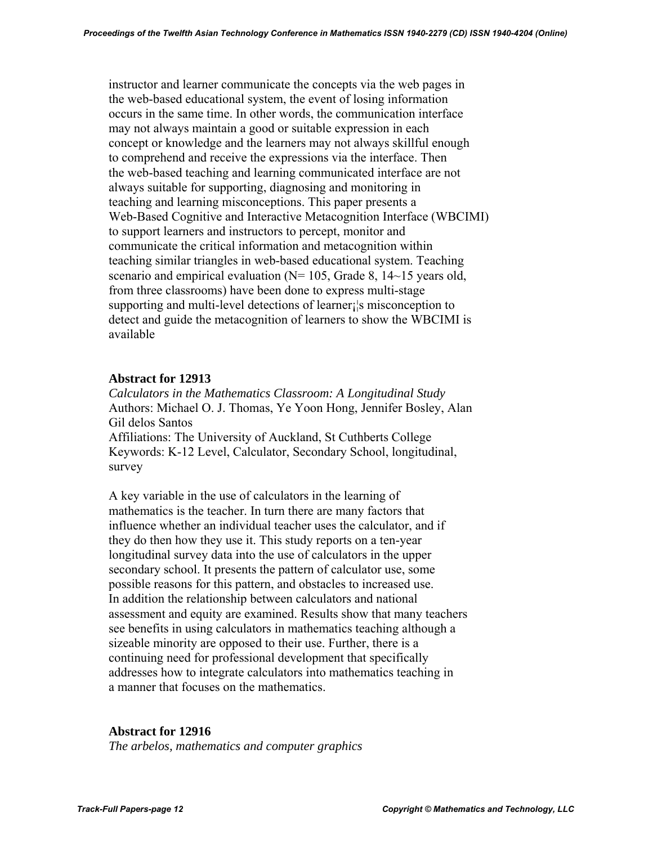instructor and learner communicate the concepts via the web pages in the web-based educational system, the event of losing information occurs in the same time. In other words, the communication interface may not always maintain a good or suitable expression in each concept or knowledge and the learners may not always skillful enough to comprehend and receive the expressions via the interface. Then the web-based teaching and learning communicated interface are not always suitable for supporting, diagnosing and monitoring in teaching and learning misconceptions. This paper presents a Web-Based Cognitive and Interactive Metacognition Interface (WBCIMI) to support learners and instructors to percept, monitor and communicate the critical information and metacognition within teaching similar triangles in web-based educational system. Teaching scenario and empirical evaluation (N= 105, Grade 8, 14~15 years old, from three classrooms) have been done to express multi-stage supporting and multi-level detections of learner is misconception to detect and guide the metacognition of learners to show the WBCIMI is available

### **Abstract for 12913**

 *Calculators in the Mathematics Classroom: A Longitudinal Study*  Authors: Michael O. J. Thomas, Ye Yoon Hong, Jennifer Bosley, Alan Gil delos Santos Affiliations: The University of Auckland, St Cuthberts College Keywords: K-12 Level, Calculator, Secondary School, longitudinal, survey

 A key variable in the use of calculators in the learning of mathematics is the teacher. In turn there are many factors that influence whether an individual teacher uses the calculator, and if they do then how they use it. This study reports on a ten-year longitudinal survey data into the use of calculators in the upper secondary school. It presents the pattern of calculator use, some possible reasons for this pattern, and obstacles to increased use. In addition the relationship between calculators and national assessment and equity are examined. Results show that many teachers see benefits in using calculators in mathematics teaching although a sizeable minority are opposed to their use. Further, there is a continuing need for professional development that specifically addresses how to integrate calculators into mathematics teaching in a manner that focuses on the mathematics.

#### **Abstract for 12916**

*The arbelos, mathematics and computer graphics*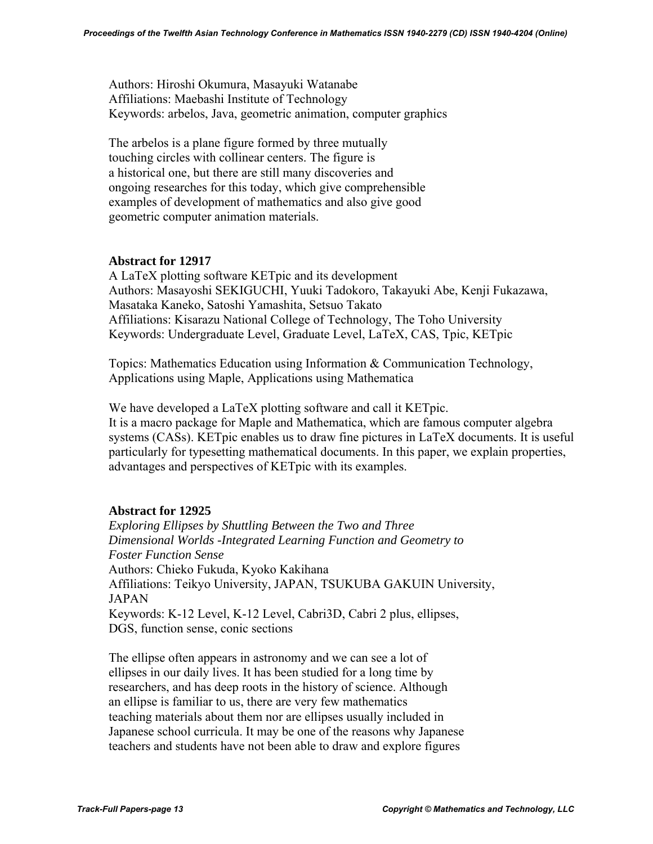Authors: Hiroshi Okumura, Masayuki Watanabe Affiliations: Maebashi Institute of Technology Keywords: arbelos, Java, geometric animation, computer graphics

 The arbelos is a plane figure formed by three mutually touching circles with collinear centers. The figure is a historical one, but there are still many discoveries and ongoing researches for this today, which give comprehensible examples of development of mathematics and also give good geometric computer animation materials.

# **Abstract for 12917**

A LaTeX plotting software KETpic and its development Authors: Masayoshi SEKIGUCHI, Yuuki Tadokoro, Takayuki Abe, Kenji Fukazawa, Masataka Kaneko, Satoshi Yamashita, Setsuo Takato Affiliations: Kisarazu National College of Technology, The Toho University Keywords: Undergraduate Level, Graduate Level, LaTeX, CAS, Tpic, KETpic

Topics: Mathematics Education using Information & Communication Technology, Applications using Maple, Applications using Mathematica

We have developed a LaTeX plotting software and call it KETpic. It is a macro package for Maple and Mathematica, which are famous computer algebra systems (CASs). KETpic enables us to draw fine pictures in LaTeX documents. It is useful particularly for typesetting mathematical documents. In this paper, we explain properties, advantages and perspectives of KETpic with its examples.

### **Abstract for 12925**

 *Exploring Ellipses by Shuttling Between the Two and Three Dimensional Worlds -Integrated Learning Function and Geometry to Foster Function Sense*  Authors: Chieko Fukuda, Kyoko Kakihana Affiliations: Teikyo University, JAPAN, TSUKUBA GAKUIN University, JAPAN Keywords: K-12 Level, K-12 Level, Cabri3D, Cabri 2 plus, ellipses, DGS, function sense, conic sections

 The ellipse often appears in astronomy and we can see a lot of ellipses in our daily lives. It has been studied for a long time by researchers, and has deep roots in the history of science. Although an ellipse is familiar to us, there are very few mathematics teaching materials about them nor are ellipses usually included in Japanese school curricula. It may be one of the reasons why Japanese teachers and students have not been able to draw and explore figures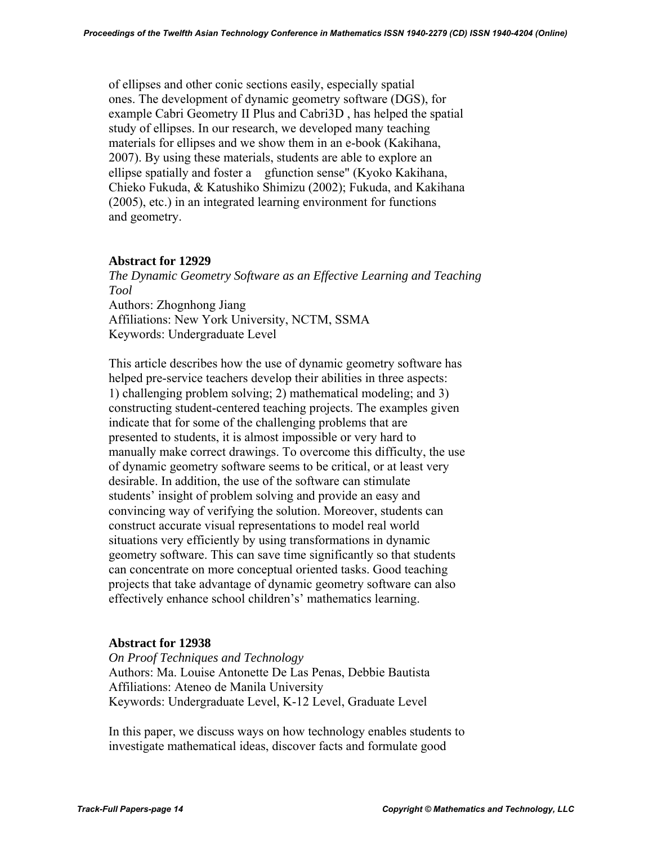of ellipses and other conic sections easily, especially spatial ones. The development of dynamic geometry software (DGS), for example Cabri Geometry II Plus and Cabri3D , has helped the spatial study of ellipses. In our research, we developed many teaching materials for ellipses and we show them in an e-book (Kakihana, 2007). By using these materials, students are able to explore an ellipse spatially and foster a gfunction sense" (Kyoko Kakihana, Chieko Fukuda, & Katushiko Shimizu (2002); Fukuda, and Kakihana (2005), etc.) in an integrated learning environment for functions and geometry.

### **Abstract for 12929**

 *The Dynamic Geometry Software as an Effective Learning and Teaching Tool*  Authors: Zhognhong Jiang Affiliations: New York University, NCTM, SSMA Keywords: Undergraduate Level

 This article describes how the use of dynamic geometry software has helped pre-service teachers develop their abilities in three aspects: 1) challenging problem solving; 2) mathematical modeling; and 3) constructing student-centered teaching projects. The examples given indicate that for some of the challenging problems that are presented to students, it is almost impossible or very hard to manually make correct drawings. To overcome this difficulty, the use of dynamic geometry software seems to be critical, or at least very desirable. In addition, the use of the software can stimulate students' insight of problem solving and provide an easy and convincing way of verifying the solution. Moreover, students can construct accurate visual representations to model real world situations very efficiently by using transformations in dynamic geometry software. This can save time significantly so that students can concentrate on more conceptual oriented tasks. Good teaching projects that take advantage of dynamic geometry software can also effectively enhance school children's' mathematics learning.

### **Abstract for 12938**

 *On Proof Techniques and Technology*  Authors: Ma. Louise Antonette De Las Penas, Debbie Bautista Affiliations: Ateneo de Manila University Keywords: Undergraduate Level, K-12 Level, Graduate Level

 In this paper, we discuss ways on how technology enables students to investigate mathematical ideas, discover facts and formulate good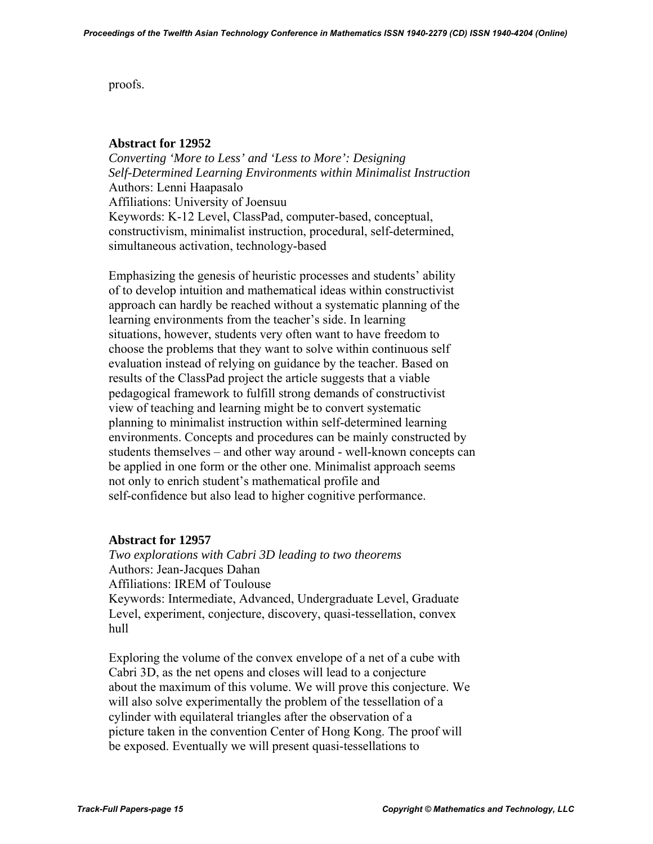proofs.

# **Abstract for 12952**

 *Converting 'More to Less' and 'Less to More': Designing Self-Determined Learning Environments within Minimalist Instruction*  Authors: Lenni Haapasalo Affiliations: University of Joensuu Keywords: K-12 Level, ClassPad, computer-based, conceptual, constructivism, minimalist instruction, procedural, self-determined, simultaneous activation, technology-based

 Emphasizing the genesis of heuristic processes and students' ability of to develop intuition and mathematical ideas within constructivist approach can hardly be reached without a systematic planning of the learning environments from the teacher's side. In learning situations, however, students very often want to have freedom to choose the problems that they want to solve within continuous self evaluation instead of relying on guidance by the teacher. Based on results of the ClassPad project the article suggests that a viable pedagogical framework to fulfill strong demands of constructivist view of teaching and learning might be to convert systematic planning to minimalist instruction within self-determined learning environments. Concepts and procedures can be mainly constructed by students themselves – and other way around - well-known concepts can be applied in one form or the other one. Minimalist approach seems not only to enrich student's mathematical profile and self-confidence but also lead to higher cognitive performance.

# **Abstract for 12957**

 *Two explorations with Cabri 3D leading to two theorems*  Authors: Jean-Jacques Dahan Affiliations: IREM of Toulouse Keywords: Intermediate, Advanced, Undergraduate Level, Graduate Level, experiment, conjecture, discovery, quasi-tessellation, convex hull

 Exploring the volume of the convex envelope of a net of a cube with Cabri 3D, as the net opens and closes will lead to a conjecture about the maximum of this volume. We will prove this conjecture. We will also solve experimentally the problem of the tessellation of a cylinder with equilateral triangles after the observation of a picture taken in the convention Center of Hong Kong. The proof will be exposed. Eventually we will present quasi-tessellations to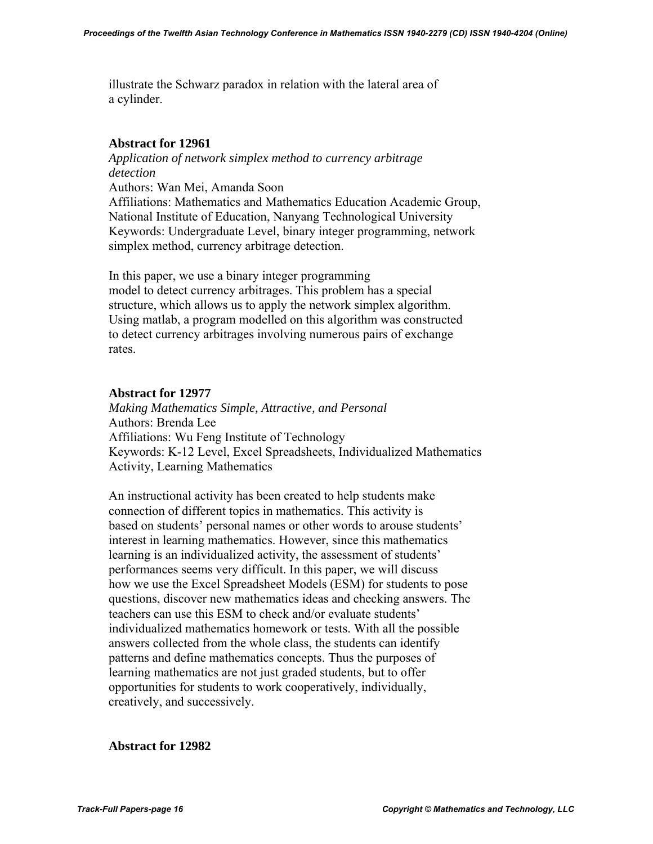illustrate the Schwarz paradox in relation with the lateral area of a cylinder.

# **Abstract for 12961**

 *Application of network simplex method to currency arbitrage detection* 

Authors: Wan Mei, Amanda Soon

 Affiliations: Mathematics and Mathematics Education Academic Group, National Institute of Education, Nanyang Technological University Keywords: Undergraduate Level, binary integer programming, network simplex method, currency arbitrage detection.

 In this paper, we use a binary integer programming model to detect currency arbitrages. This problem has a special structure, which allows us to apply the network simplex algorithm. Using matlab, a program modelled on this algorithm was constructed to detect currency arbitrages involving numerous pairs of exchange rates.

# **Abstract for 12977**

 *Making Mathematics Simple, Attractive, and Personal*  Authors: Brenda Lee Affiliations: Wu Feng Institute of Technology Keywords: K-12 Level, Excel Spreadsheets, Individualized Mathematics Activity, Learning Mathematics

 An instructional activity has been created to help students make connection of different topics in mathematics. This activity is based on students' personal names or other words to arouse students' interest in learning mathematics. However, since this mathematics learning is an individualized activity, the assessment of students' performances seems very difficult. In this paper, we will discuss how we use the Excel Spreadsheet Models (ESM) for students to pose questions, discover new mathematics ideas and checking answers. The teachers can use this ESM to check and/or evaluate students' individualized mathematics homework or tests. With all the possible answers collected from the whole class, the students can identify patterns and define mathematics concepts. Thus the purposes of learning mathematics are not just graded students, but to offer opportunities for students to work cooperatively, individually, creatively, and successively.

**Abstract for 12982**